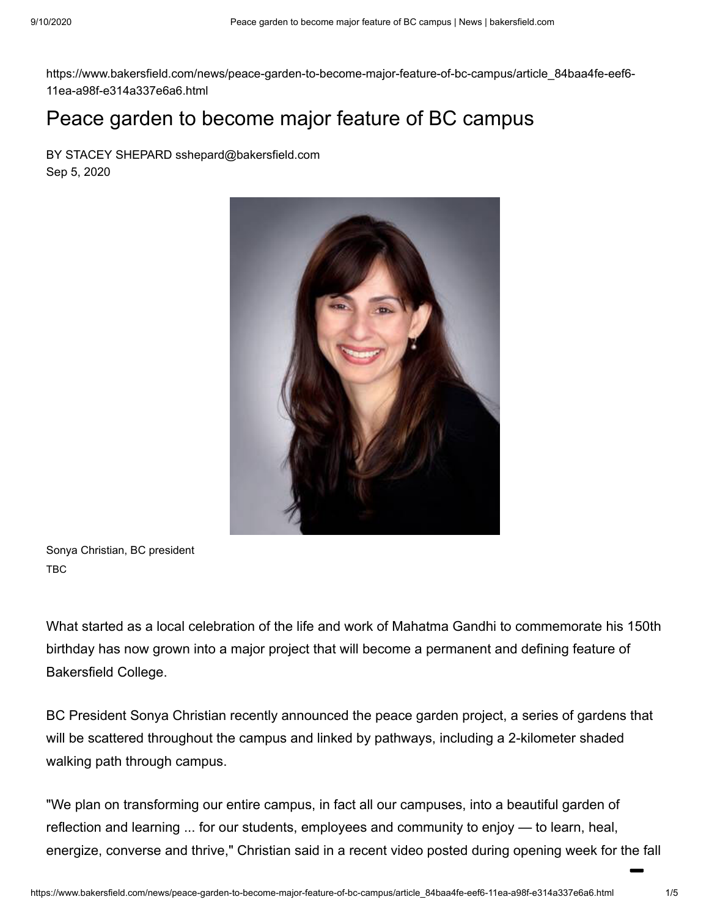https://www.bakersfield.com/news/peace-garden-to-become-major-feature-of-bc-campus/article\_84baa4fe-eef6- 11ea-a98f-e314a337e6a6.html

## Peace garden to become major feature of BC campus

BY STACEY SHEPARD sshepard@bakersfield.com Sep 5, 2020



Sonya Christian, BC president TBC

What started as a local celebration of the life and work of Mahatma Gandhi to commemorate his 150th birthday has now grown into a major project that will become a permanent and defining feature of Bakersfield College.

BC President Sonya Christian recently announced the peace garden project, a series of gardens that will be scattered throughout the campus and linked by pathways, including a 2-kilometer shaded walking path through campus.

"We plan on transforming our entire campus, in fact all our campuses, into a beautiful garden of reflection and learning ... for our students, employees and community to enjoy — to learn, heal, energize, converse and thrive," Christian said in a recent video posted during opening week for the fall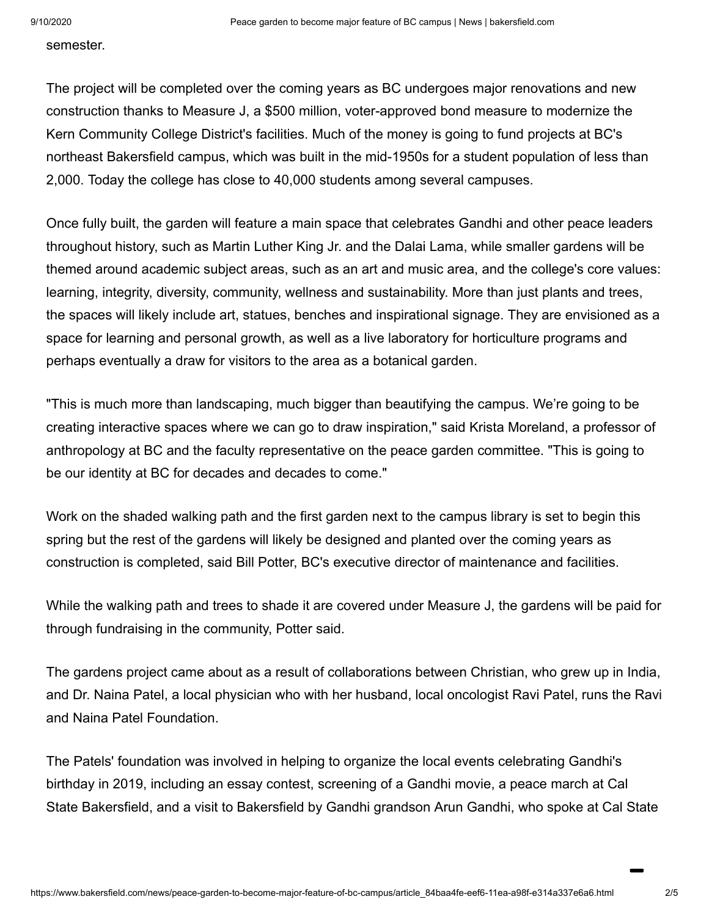semester.

The project will be completed over the coming years as BC undergoes major renovations and new construction thanks to Measure J, a \$500 million, voter-approved bond measure to modernize the Kern Community College District's facilities. Much of the money is going to fund projects at BC's northeast Bakersfield campus, which was built in the mid-1950s for a student population of less than 2,000. Today the college has close to 40,000 students among several campuses.

Once fully built, the garden will feature a main space that celebrates Gandhi and other peace leaders throughout history, such as Martin Luther King Jr. and the Dalai Lama, while smaller gardens will be themed around academic subject areas, such as an art and music area, and the college's core values: learning, integrity, diversity, community, wellness and sustainability. More than just plants and trees, the spaces will likely include art, statues, benches and inspirational signage. They are envisioned as a space for learning and personal growth, as well as a live laboratory for horticulture programs and perhaps eventually a draw for visitors to the area as a botanical garden.

"This is much more than landscaping, much bigger than beautifying the campus. We're going to be creating interactive spaces where we can go to draw inspiration," said Krista Moreland, a professor of anthropology at BC and the faculty representative on the peace garden committee. "This is going to be our identity at BC for decades and decades to come."

Work on the shaded walking path and the first garden next to the campus library is set to begin this spring but the rest of the gardens will likely be designed and planted over the coming years as construction is completed, said Bill Potter, BC's executive director of maintenance and facilities.

While the walking path and trees to shade it are covered under Measure J, the gardens will be paid for through fundraising in the community, Potter said.

The gardens project came about as a result of collaborations between Christian, who grew up in India, and Dr. Naina Patel, a local physician who with her husband, local oncologist Ravi Patel, runs the Ravi and Naina Patel Foundation.

The Patels' foundation was involved in helping to organize the local events celebrating Gandhi's birthday in 2019, including an essay contest, screening of a Gandhi movie, a peace march at Cal State Bakersfield, and a visit to Bakersfield by Gandhi grandson Arun Gandhi, who spoke at Cal State